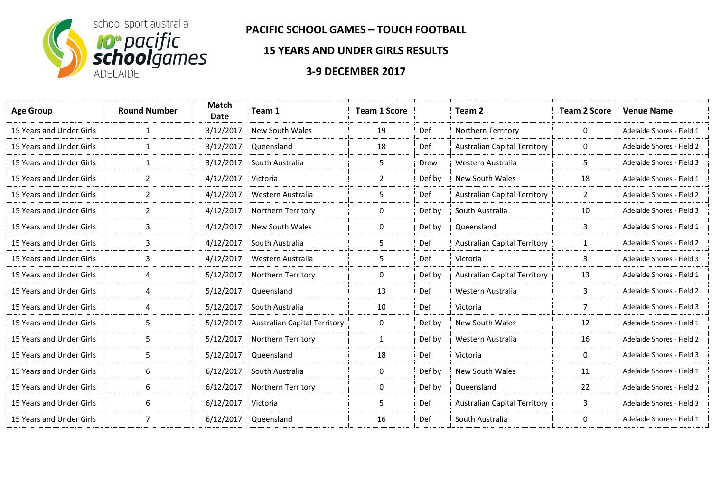

## **PACIFIC SCHOOL GAMES – TOUCH FOOTBALL**

## **15 YEARS AND UNDER GIRLS RESULTS**

## **3-9 DECEMBER 2017**

| <b>Age Group</b>         | <b>Round Number</b> | <b>Match</b><br>Date | Team 1                              | <b>Team 1 Score</b> |        | Team <sub>2</sub>                   | <b>Team 2 Score</b> | <b>Venue Name</b>         |
|--------------------------|---------------------|----------------------|-------------------------------------|---------------------|--------|-------------------------------------|---------------------|---------------------------|
| 15 Years and Under Girls | $\mathbf{1}$        | 3/12/2017            | <b>New South Wales</b>              | 19                  | Def    | Northern Territory                  | 0                   | Adelaide Shores - Field 1 |
| 15 Years and Under Girls | $\mathbf{1}$        | 3/12/2017            | Queensland                          | 18                  | Def    | <b>Australian Capital Territory</b> | 0                   | Adelaide Shores - Field 2 |
| 15 Years and Under Girls | $\mathbf{1}$        | 3/12/2017            | South Australia                     | 5                   | Drew   | Western Australia                   | 5.                  | Adelaide Shores - Field 3 |
| 15 Years and Under Girls | $\overline{2}$      | 4/12/2017            | Victoria                            | $\mathbf{2}$        | Def by | <b>New South Wales</b>              | 18                  | Adelaide Shores - Field 1 |
| 15 Years and Under Girls | 2                   | 4/12/2017            | Western Australia                   | 5                   | Def    | <b>Australian Capital Territory</b> | $\overline{2}$      | Adelaide Shores - Field 2 |
| 15 Years and Under Girls | $\overline{2}$      | 4/12/2017            | Northern Territory                  | 0                   | Def by | South Australia                     | 10                  | Adelaide Shores - Field 3 |
| 15 Years and Under Girls | 3                   | 4/12/2017            | <b>New South Wales</b>              | 0                   | Def by | Queensland                          | 3                   | Adelaide Shores - Field 1 |
| 15 Years and Under Girls | 3                   | 4/12/2017            | South Australia                     | 5.                  | Def    | <b>Australian Capital Territory</b> | 1                   | Adelaide Shores - Field 2 |
| 15 Years and Under Girls | 3                   | 4/12/2017            | Western Australia                   | 5                   | Def    | Victoria                            | 3                   | Adelaide Shores - Field 3 |
| 15 Years and Under Girls | 4                   | 5/12/2017            | Northern Territory                  | 0                   | Def by | <b>Australian Capital Territory</b> | 13                  | Adelaide Shores - Field 1 |
| 15 Years and Under Girls | 4                   | 5/12/2017            | Queensland                          | 13                  | Def    | Western Australia                   | 3                   | Adelaide Shores - Field 2 |
| 15 Years and Under Girls | 4                   | 5/12/2017            | South Australia                     | 10                  | Def    | Victoria                            | 7                   | Adelaide Shores - Field 3 |
| 15 Years and Under Girls | 5                   | 5/12/2017            | <b>Australian Capital Territory</b> | 0                   | Def by | New South Wales                     | 12                  | Adelaide Shores - Field 1 |
| 15 Years and Under Girls | 5                   | 5/12/2017            | Northern Territory                  | $\mathbf{1}$        | Def by | Western Australia                   | 16                  | Adelaide Shores - Field 2 |
| 15 Years and Under Girls | 5                   | 5/12/2017            | Queensland                          | 18                  | Def    | Victoria                            | $\Omega$            | Adelaide Shores - Field 3 |
| 15 Years and Under Girls | 6                   | 6/12/2017            | South Australia                     | 0                   | Def by | New South Wales                     | 11                  | Adelaide Shores - Field 1 |
| 15 Years and Under Girls | 6                   | 6/12/2017            | Northern Territory                  | 0                   | Def by | Queensland                          | 22                  | Adelaide Shores - Field 2 |
| 15 Years and Under Girls | 6                   | 6/12/2017            | Victoria                            | 5                   | Def    | <b>Australian Capital Territory</b> | 3                   | Adelaide Shores - Field 3 |
| 15 Years and Under Girls | $\overline{7}$      | 6/12/2017            | Queensland                          | 16                  | Def    | South Australia                     | 0                   | Adelaide Shores - Field 1 |